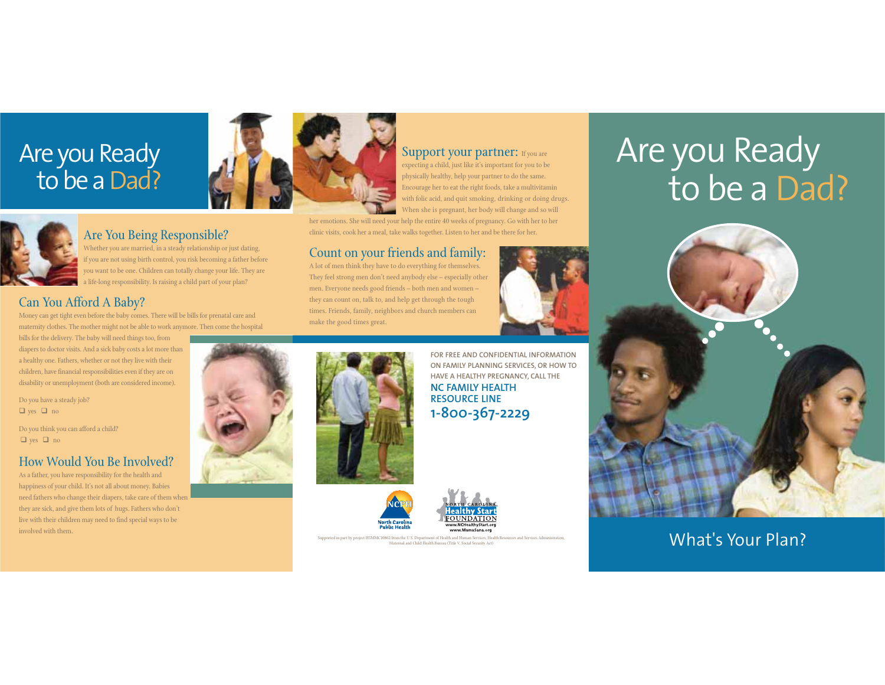## Are you Ready to be a Dad?



#### Support your partner: If you are

expecting a child, just like it's important for you to be physically healthy, help your partner to do the same. Encourage her to eat the right foods, take a multivitamin with folic acid, and quit smoking, drinking or doing drugs. When she is pregnant, her body will change and so will

her emotions. She will need your help the entire 40 weeks of pregnancy. Go with her to her clinic visits, cook her a meal, take walks together. Listen to her and be there for her.

#### Count on your friends and family:

A lot of men think they have to do everything for themselves. They feel strong men don't need anybody else – especially other men. Everyone needs good friends – both men and women – they can count on, talk to, and help get through the tough times. Friends, family, neighbors and church members can make the good times great.



# Are you Ready to be a Dad?



### Supported in part by project H5MMC10862 from the U.S. Department of Health and Human Services, Health Resources and Services, Administration, Material and Child Health Bureau (Title V, Social Security Act)



#### Are You Being Responsible?

Whether you are married, in a steady relationship or just dating, f you are not using birth control, you risk becoming a father before you want to be one. Children can totally change your life. They are a life-long responsibility. Is raising a child part of your plan?

#### Can You Afford A Baby?

Money can get tight even before the baby comes. There will be bills for prenatal care and maternity clothes. The mother might not be able to work anymore. Then come the hospital

bills for the delivery. The baby will need things too, from diapers to doctor visits. And a sick baby costs a lot more than a healthy one. Fathers, whether or not they live with their children, have financial responsibilities even if they are on disability or unemployment (both are considered income).

Do you have a steady job?  $\Box$  yes  $\Box$  no

Do you think you can afford a child?  $\Box$  yes  $\Box$  no

#### How Would You Be Involved?

As a father, you have responsibility for the health and happiness of your child. It's not all about money. Babies need fathers who change their diapers, take care of them when they are sick, and give them lots of hugs. Fathers who don't live with their children may need to find special ways to be involved with them.





**ON FAMILY PLANNING SERVICES, OR HOW TO HAVE A HEALTHY PREGNANCY, CALL THE NC FAMILY HEALTH RESOURCE LINE1-800-367-2229**

**FOR FREE AND CONFIDENTIAL INFORMATION**